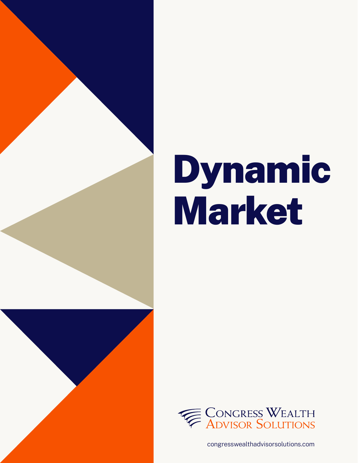

# Dynamic Market



congresswealthadvisorsolutions.com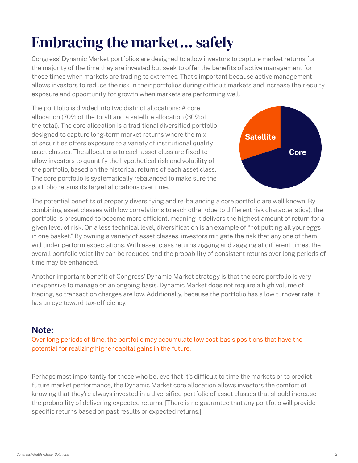# Embracing the market... safely

Congress' Dynamic Market portfolios are designed to allow investors to capture market returns for the majority of the time they are invested but seek to offer the benefits of active management for those times when markets are trading to extremes. That's important because active management allows investors to reduce the risk in their portfolios during difficult markets and increase their equity exposure and opportunity for growth when markets are performing well.

The portfolio is divided into two distinct allocations: A core allocation (70% of the total) and a satellite allocation (30%of the total). The core allocation is a traditional diversified portfolio designed to capture long-term market returns where the mix of securities offers exposure to a variety of institutional quality asset classes. The allocations to each asset class are fixed to allow investors to quantify the hypothetical risk and volatility of the portfolio, based on the historical returns of each asset class. The core portfolio is systematically rebalanced to make sure the portfolio retains its target allocations over time.



The potential benefits of properly diversifying and re-balancing a core portfolio are well known. By combining asset classes with low correlations to each other (due to different risk characteristics), the portfolio is presumed to become more efficient, meaning it delivers the highest amount of return for a given level of risk. On a less technical level, diversification is an example of "not putting all your eggs in one basket." By owning a variety of asset classes, investors mitigate the risk that any one of them will under perform expectations. With asset class returns zigging and zagging at different times, the overall portfolio volatility can be reduced and the probability of consistent returns over long periods of time may be enhanced.

Another important benefit of Congress' Dynamic Market strategy is that the core portfolio is very inexpensive to manage on an ongoing basis. Dynamic Market does not require a high volume of trading, so transaction charges are low. Additionally, because the portfolio has a low turnover rate, it has an eye toward tax-efficiency.

#### **Note:**

Over long periods of time, the portfolio may accumulate low cost-basis positions that have the potential for realizing higher capital gains in the future.

Perhaps most importantly for those who believe that it's difficult to time the markets or to predict future market performance, the Dynamic Market core allocation allows investors the comfort of knowing that they're always invested in a diversified portfolio of asset classes that should increase the probability of delivering expected returns. [There is no guarantee that any portfolio will provide specific returns based on past results or expected returns.]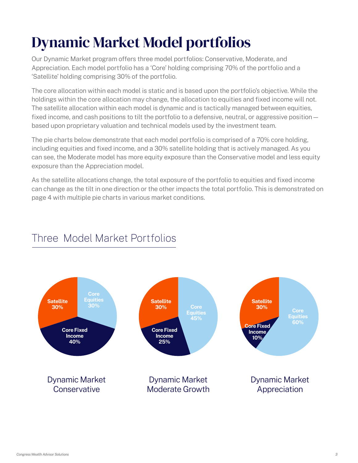# Dynamic Market Model portfolios

Our Dynamic Market program offers three model portfolios: Conservative, Moderate, and Appreciation. Each model portfolio has a 'Core' holding comprising 70% of the portfolio and a 'Satellite' holding comprising 30% of the portfolio.

The core allocation within each model is static and is based upon the portfolio's objective. While the holdings within the core allocation may change, the allocation to equities and fixed income will not. The satellite allocation within each model is dynamic and is tactically managed between equities, fixed income, and cash positions to tilt the portfolio to a defensive, neutral, or aggressive position based upon proprietary valuation and technical models used by the investment team.

The pie charts below demonstrate that each model portfolio is comprised of a 70% core holding, including equities and fixed income, and a 30% satellite holding that is actively managed. As you can see, the Moderate model has more equity exposure than the Conservative model and less equity exposure than the Appreciation model.

As the satellite allocations change, the total exposure of the portfolio to equities and fixed income can change as the tilt in one direction or the other impacts the total portfolio. This is demonstrated on page 4 with multiple pie charts in various market conditions.



#### Three Model Market Portfolios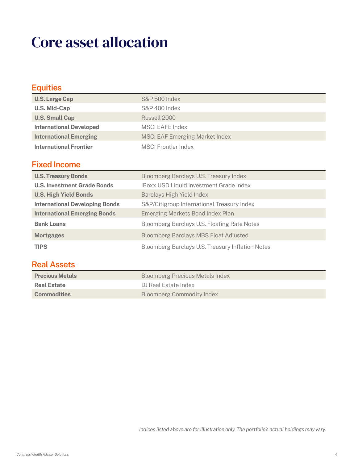### Core asset allocation

| <b>Equities</b>                       |                                                |
|---------------------------------------|------------------------------------------------|
| <b>U.S. Large Cap</b>                 | <b>S&amp;P 500 Index</b>                       |
| <b>U.S. Mid-Cap</b>                   | S&P 400 Index                                  |
| <b>U.S. Small Cap</b>                 | Russell 2000                                   |
| <b>International Developed</b>        | <b>MSCI EAFE Index</b>                         |
| <b>International Emerging</b>         | <b>MSCI EAF Emerging Market Index</b>          |
| <b>International Frontier</b>         | <b>MSCI Frontier Index</b>                     |
| <b>Fixed Income</b>                   |                                                |
| <b>U.S. Treasury Bonds</b>            | Bloomberg Barclays U.S. Treasury Index         |
| <b>U.S. Investment Grade Bonds</b>    | <b>iBoxx USD Liquid Investment Grade Index</b> |
| <b>U.S. High Yield Bonds</b>          | Barclays High Yield Index                      |
| <b>International Developing Bonds</b> | S&P/Citigroup International Treasury Index     |
| <b>International Emerging Bonds</b>   | Emerging Markets Bond Index Plan               |
| <b>Bank Loans</b>                     | Bloomberg Barclays U.S. Floating Rate Notes    |
| <b>Mortgages</b>                      | <b>Bloomberg Barclays MBS Float Adjusted</b>   |

#### **Real Assets**

| Bloomberg Precious Metals Index  |
|----------------------------------|
| DJ Real Estate Index             |
| <b>Bloomberg Commodity Index</b> |
|                                  |

**TIPS** Bloomberg Barclays U.S. Treasury Inflation Notes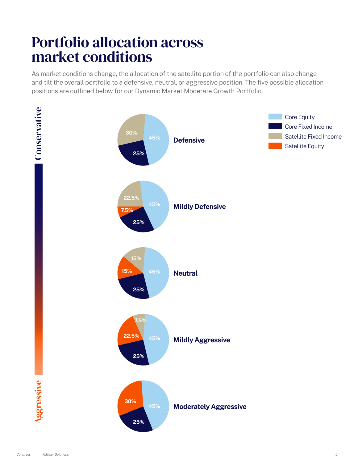#### Portfolio allocation across market conditions

As market conditions change, the allocation of the satellite portion of the portfolio can also change and tilt the overall portfolio to a defensive, neutral, or aggressive position. The five possible allocation positions are outlined below for our Dynamic Market Moderate Growth Portfolio.

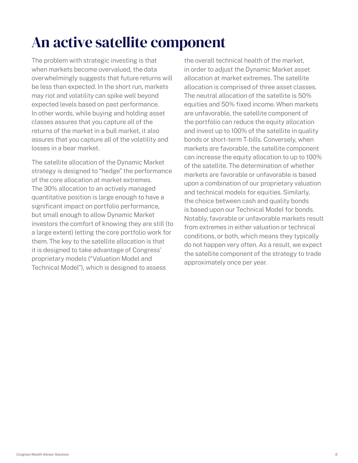## An active satellite component

The problem with strategic investing is that when markets become overvalued, the data overwhelmingly suggests that future returns will be less than expected. In the short run, markets may riot and volatility can spike well beyond expected levels based on past performance. In other words, while buying and holding asset classes assures that you capture all of the returns of the market in a bull market, it also assures that you capture all of the volatility and losses in a bear market.

The satellite allocation of the Dynamic Market strategy is designed to "hedge" the performance of the core allocation at market extremes. The 30% allocation to an actively managed quantitative position is large enough to have a significant impact on portfolio performance, but small enough to allow Dynamic Market investors the comfort of knowing they are still (to a large extent) letting the core portfolio work for them. The key to the satellite allocation is that it is designed to take advantage of Congress' proprietary models ("Valuation Model and Technical Model"), which is designed to assess

the overall technical health of the market, in order to adjust the Dynamic Market asset allocation at market extremes. The satellite allocation is comprised of three asset classes. The neutral allocation of the satellite is 50% equities and 50% fixed income. When markets are unfavorable, the satellite component of the portfolio can reduce the equity allocation and invest up to 100% of the satellite in quality bonds or short-term T-bills. Conversely, when markets are favorable, the satellite component can increase the equity allocation to up to 100% of the satellite. The determination of whether markets are favorable or unfavorable is based upon a combination of our proprietary valuation and technical models for equities. Similarly, the choice between cash and quality bonds is based upon our Technical Model for bonds. Notably, favorable or unfavorable markets result from extremes in either valuation or technical conditions, or both, which means they typically do not happen very often. As a result, we expect the satellite component of the strategy to trade approximately once per year.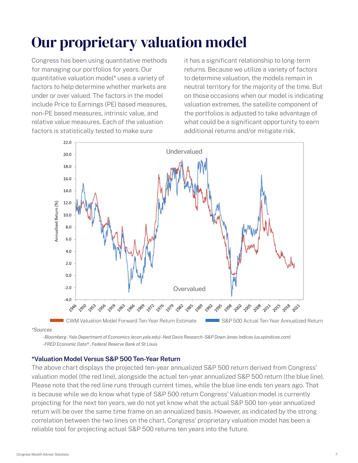# Our proprietary valuation model

Congress has been using quantitative methods for managing our portfolios for years. Our quantitative valuation model\* uses a variety of factors to help determine whether markets are under or over valued. The factors in the model include Price to Earnings (PE) based measures, non-PE based measures, intrinsic value, and relative value measures. Each of the valuation factors is statistically tested to make sure

it has a significant relationship to long-term returns. Because we utilize a variety of factors to determine valuation, the models remain in neutral territory for the majority of the time. But on those occasions when our model is indicating valuation extremes, the satellite component of the portfolios is adjusted to take advantage of what could be a significant opportunity to earn additional returns and/or mitigate risk.



*\*Sources*

*- Bloomberg - Yale Department of Economics (econ.yale.edu) - Ned Davis Research - S&P Down Jones Indices (us.spindices.com) - FRED Economic Data® , Federal Reserve Bank of St Louis*

#### **\*Valuation Model Versus S&P 500 Ten-Year Return**

The above chart displays the projected ten-year annualized S&P 500 return derived from Congress' valuation model (the red line), alongside the actual ten-year annualized S&P 500 return (the blue line). Please note that the red line runs through current times, while the blue line ends ten years ago. That is because while we do know what type of S&P 500 return Congress' Valuation model is currently projecting for the next ten years, we do not yet know what the actual S&P 500 ten-year annualized return will be over the same time frame on an annualized basis. However, as indicated by the strong correlation between the two lines on the chart, Congress' proprietary valuation model has been a reliable tool for projecting actual S&P 500 returns ten years into the future.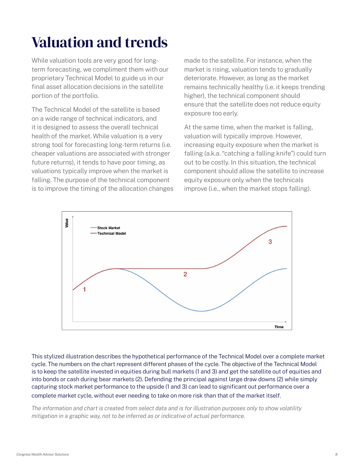## Valuation and trends

While valuation tools are very good for longterm forecasting, we compliment them with our proprietary Technical Model to guide us in our final asset allocation decisions in the satellite portion of the portfolio.

The Technical Model of the satellite is based on a wide range of technical indicators, and it is designed to assess the overall technical health of the market. While valuation is a very strong tool for forecasting long-term returns (i.e. cheaper valuations are associated with stronger future returns), it tends to have poor timing, as valuations typically improve when the market is falling. The purpose of the technical component is to improve the timing of the allocation changes made to the satellite. For instance, when the market is rising, valuation tends to gradually deteriorate. However, as long as the market remains technically healthy (i.e. it keeps trending higher), the technical component should ensure that the satellite does not reduce equity exposure too early.

At the same time, when the market is falling, valuation will typically improve. However, increasing equity exposure when the market is falling (a.k.a. "catching a falling knife") could turn out to be costly. In this situation, the technical component should allow the satellite to increase equity exposure only when the technicals improve (i.e., when the market stops falling).



This stylized illustration describes the hypothetical performance of the Technical Model over a complete market cycle. The numbers on the chart represent different phases of the cycle. The objective of the Technical Model is to keep the satellite invested in equities during bull markets (1 and 3) and get the satellite out of equities and into bonds or cash during bear markets (2). Defending the principal against large draw downs (2) while simply capturing stock market performance to the upside (1 and 3) can lead to significant out performance over a complete market cycle, without ever needing to take on more risk than that of the market itself.

*The information and chart is created from select data and is for illustration purposes only to show volatility mitigation in a graphic way, not to be inferred as or indicative of actual performance.*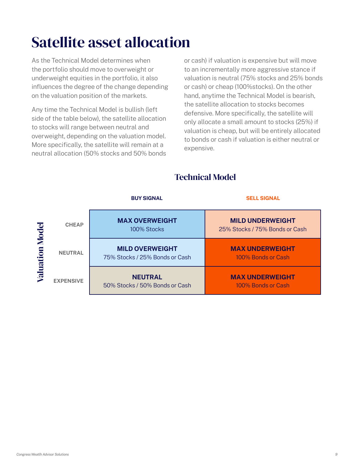## Satellite asset allocation

As the Technical Model determines when the portfolio should move to overweight or underweight equities in the portfolio, it also influences the degree of the change depending on the valuation position of the markets.

Any time the Technical Model is bullish (left side of the table below), the satellite allocation to stocks will range between neutral and overweight, depending on the valuation model. More specifically, the satellite will remain at a neutral allocation (50% stocks and 50% bonds or cash) if valuation is expensive but will move to an incrementally more aggressive stance if valuation is neutral (75% stocks and 25% bonds or cash) or cheap (100%stocks). On the other hand, anytime the Technical Model is bearish, the satellite allocation to stocks becomes defensive. More specifically, the satellite will only allocate a small amount to stocks (25%) if valuation is cheap, but will be entirely allocated to bonds or cash if valuation is either neutral or expensive.

#### Technical Model